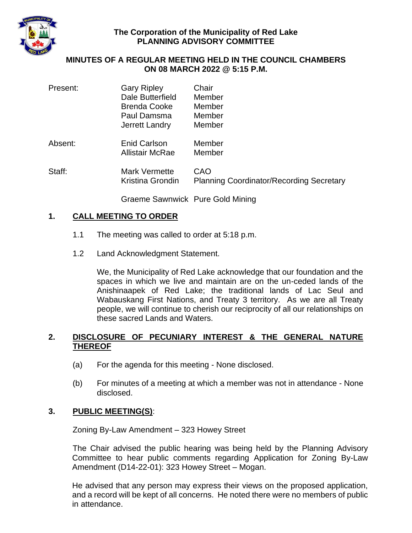

### **The Corporation of the Municipality of Red Lake PLANNING ADVISORY COMMITTEE**

#### **MINUTES OF A REGULAR MEETING HELD IN THE COUNCIL CHAMBERS ON 08 MARCH 2022 @ 5:15 P.M.**

| Present: | <b>Gary Ripley</b><br>Dale Butterfield<br>Brenda Cooke<br>Paul Damsma<br>Jerrett Landry | Chair<br>Member<br>Member<br>Member<br>Member          |
|----------|-----------------------------------------------------------------------------------------|--------------------------------------------------------|
| Absent:  | Enid Carlson<br><b>Allistair McRae</b>                                                  | Member<br>Member                                       |
| Staff:   | <b>Mark Vermette</b><br>Kristina Grondin                                                | CAO<br><b>Planning Coordinator/Recording Secretary</b> |
|          | Graeme Sawnwick Pure Gold Mining                                                        |                                                        |

#### **1. CALL MEETING TO ORDER**

- 1.1 The meeting was called to order at 5:18 p.m.
- 1.2 Land Acknowledgment Statement.

We, the Municipality of Red Lake acknowledge that our foundation and the spaces in which we live and maintain are on the un-ceded lands of the Anishinaapek of Red Lake; the traditional lands of Lac Seul and Wabauskang First Nations, and Treaty 3 territory. As we are all Treaty people, we will continue to cherish our reciprocity of all our relationships on these sacred Lands and Waters.

### **2. DISCLOSURE OF PECUNIARY INTEREST & THE GENERAL NATURE THEREOF**

- (a) For the agenda for this meeting None disclosed.
- (b) For minutes of a meeting at which a member was not in attendance None disclosed.

### **3. PUBLIC MEETING(S)**:

Zoning By-Law Amendment – 323 Howey Street

The Chair advised the public hearing was being held by the Planning Advisory Committee to hear public comments regarding Application for Zoning By-Law Amendment (D14-22-01): 323 Howey Street – Mogan.

He advised that any person may express their views on the proposed application, and a record will be kept of all concerns. He noted there were no members of public in attendance.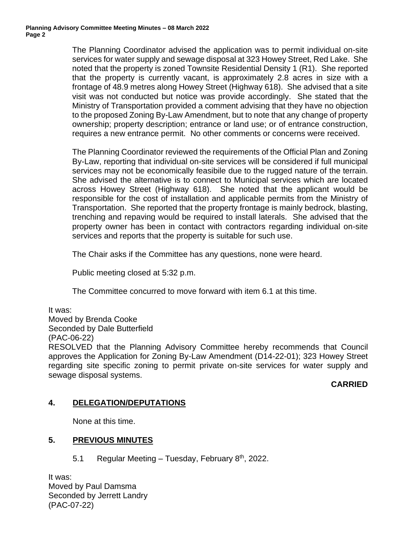The Planning Coordinator advised the application was to permit individual on-site services for water supply and sewage disposal at 323 Howey Street, Red Lake. She noted that the property is zoned Townsite Residential Density 1 (R1). She reported that the property is currently vacant, is approximately 2.8 acres in size with a frontage of 48.9 metres along Howey Street (Highway 618). She advised that a site visit was not conducted but notice was provide accordingly. She stated that the Ministry of Transportation provided a comment advising that they have no objection to the proposed Zoning By-Law Amendment, but to note that any change of property ownership; property description; entrance or land use; or of entrance construction, requires a new entrance permit. No other comments or concerns were received.

The Planning Coordinator reviewed the requirements of the Official Plan and Zoning By-Law, reporting that individual on-site services will be considered if full municipal services may not be economically feasibile due to the rugged nature of the terrain. She advised the alternative is to connect to Municipal services which are located across Howey Street (Highway 618). She noted that the applicant would be responsible for the cost of installation and applicable permits from the Ministry of Transportation. She reported that the property frontage is mainly bedrock, blasting, trenching and repaving would be required to install laterals. She advised that the property owner has been in contact with contractors regarding individual on-site services and reports that the property is suitable for such use.

The Chair asks if the Committee has any questions, none were heard.

Public meeting closed at 5:32 p.m.

The Committee concurred to move forward with item 6.1 at this time.

It was:

Moved by Brenda Cooke

Seconded by Dale Butterfield

(PAC-06-22)

RESOLVED that the Planning Advisory Committee hereby recommends that Council approves the Application for Zoning By-Law Amendment (D14-22-01); 323 Howey Street regarding site specific zoning to permit private on-site services for water supply and sewage disposal systems.

#### **CARRIED**

### **4. DELEGATION/DEPUTATIONS**

None at this time.

### **5. PREVIOUS MINUTES**

5.1 Regular Meeting - Tuesday, February 8<sup>th</sup>, 2022.

It was: Moved by Paul Damsma Seconded by Jerrett Landry (PAC-07-22)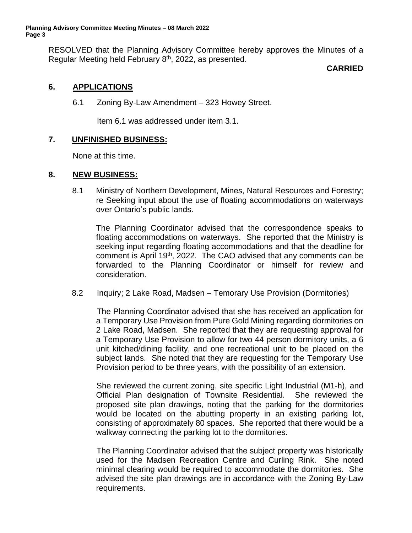RESOLVED that the Planning Advisory Committee hereby approves the Minutes of a Regular Meeting held February 8<sup>th</sup>, 2022, as presented.

### **CARRIED**

## **6. APPLICATIONS**

6.1 Zoning By-Law Amendment – 323 Howey Street.

Item 6.1 was addressed under item 3.1.

### **7. UNFINISHED BUSINESS:**

None at this time.

#### **8. NEW BUSINESS:**

8.1 Ministry of Northern Development, Mines, Natural Resources and Forestry; re Seeking input about the use of floating accommodations on waterways over Ontario's public lands.

The Planning Coordinator advised that the correspondence speaks to floating accommodations on waterways. She reported that the Ministry is seeking input regarding floating accommodations and that the deadline for comment is April 19<sup>th</sup>, 2022. The CAO advised that any comments can be forwarded to the Planning Coordinator or himself for review and consideration.

8.2 Inquiry; 2 Lake Road, Madsen – Temorary Use Provision (Dormitories)

The Planning Coordinator advised that she has received an application for a Temporary Use Provision from Pure Gold Mining regarding dormitories on 2 Lake Road, Madsen. She reported that they are requesting approval for a Temporary Use Provision to allow for two 44 person dormitory units, a 6 unit kitched/dining facility, and one recreational unit to be placed on the subject lands. She noted that they are requesting for the Temporary Use Provision period to be three years, with the possibility of an extension.

She reviewed the current zoning, site specific Light Industrial (M1-h), and Official Plan designation of Townsite Residential. She reviewed the proposed site plan drawings, noting that the parking for the dormitories would be located on the abutting property in an existing parking lot, consisting of approximately 80 spaces. She reported that there would be a walkway connecting the parking lot to the dormitories.

The Planning Coordinator advised that the subject property was historically used for the Madsen Recreation Centre and Curling Rink. She noted minimal clearing would be required to accommodate the dormitories. She advised the site plan drawings are in accordance with the Zoning By-Law requirements.